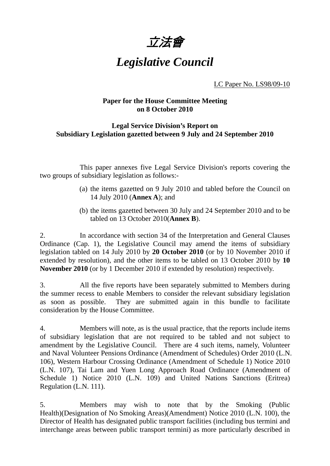

# *Legislative Council*

LC Paper No. LS98/09-10

# **Paper for the House Committee Meeting on 8 October 2010**

# **Legal Service Division's Report on Subsidiary Legislation gazetted between 9 July and 24 September 2010**

 This paper annexes five Legal Service Division's reports covering the two groups of subsidiary legislation as follows:-

- (a) the items gazetted on 9 July 2010 and tabled before the Council on 14 July 2010 (**Annex A**); and
- (b) the items gazetted between 30 July and 24 September 2010 and to be tabled on 13 October 2010(**Annex B**).

2. In accordance with section 34 of the Interpretation and General Clauses Ordinance (Cap. 1), the Legislative Council may amend the items of subsidiary legislation tabled on 14 July 2010 by **20 October 2010** (or by 10 November 2010 if extended by resolution), and the other items to be tabled on 13 October 2010 by **10 November 2010** (or by 1 December 2010 if extended by resolution) respectively.

3. All the five reports have been separately submitted to Members during the summer recess to enable Members to consider the relevant subsidiary legislation as soon as possible. They are submitted again in this bundle to facilitate consideration by the House Committee.

4. Members will note, as is the usual practice, that the reports include items of subsidiary legislation that are not required to be tabled and not subject to amendment by the Legislative Council. There are 4 such items, namely, Volunteer and Naval Volunteer Pensions Ordinance (Amendment of Schedules) Order 2010 (L.N. 106), Western Harbour Crossing Ordinance (Amendment of Schedule 1) Notice 2010 (L.N. 107), Tai Lam and Yuen Long Approach Road Ordinance (Amendment of Schedule 1) Notice 2010 (L.N. 109) and United Nations Sanctions (Eritrea) Regulation (L.N. 111).

5. Members may wish to note that by the Smoking (Public Health)(Designation of No Smoking Areas)(Amendment) Notice 2010 (L.N. 100), the Director of Health has designated public transport facilities (including bus termini and interchange areas between public transport termini) as more particularly described in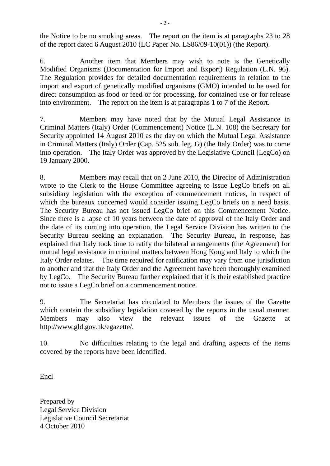the Notice to be no smoking areas. The report on the item is at paragraphs 23 to 28 of the report dated 6 August 2010 (LC Paper No. LS86/09-10(01)) (the Report).

6. Another item that Members may wish to note is the Genetically Modified Organisms (Documentation for Import and Export) Regulation (L.N. 96). The Regulation provides for detailed documentation requirements in relation to the import and export of genetically modified organisms (GMO) intended to be used for direct consumption as food or feed or for processing, for contained use or for release into environment. The report on the item is at paragraphs 1 to 7 of the Report.

7. Members may have noted that by the Mutual Legal Assistance in Criminal Matters (Italy) Order (Commencement) Notice (L.N. 108) the Secretary for Security appointed 14 August 2010 as the day on which the Mutual Legal Assistance in Criminal Matters (Italy) Order (Cap. 525 sub. leg. G) (the Italy Order) was to come into operation. The Italy Order was approved by the Legislative Council (LegCo) on 19 January 2000.

8. Members may recall that on 2 June 2010, the Director of Administration wrote to the Clerk to the House Committee agreeing to issue LegCo briefs on all subsidiary legislation with the exception of commencement notices, in respect of which the bureaux concerned would consider issuing LegCo briefs on a need basis. The Security Bureau has not issued LegCo brief on this Commencement Notice. Since there is a lapse of 10 years between the date of approval of the Italy Order and the date of its coming into operation, the Legal Service Division has written to the Security Bureau seeking an explanation. The Security Bureau, in response, has explained that Italy took time to ratify the bilateral arrangements (the Agreement) for mutual legal assistance in criminal matters between Hong Kong and Italy to which the Italy Order relates. The time required for ratification may vary from one jurisdiction to another and that the Italy Order and the Agreement have been thoroughly examined by LegCo. The Security Bureau further explained that it is their established practice not to issue a LegCo brief on a commencement notice.

9. The Secretariat has circulated to Members the issues of the Gazette which contain the subsidiary legislation covered by the reports in the usual manner. Members may also view the relevant issues of the Gazette at http://www.gld.gov.hk/egazette/.

10. No difficulties relating to the legal and drafting aspects of the items covered by the reports have been identified.

Encl

Prepared by Legal Service Division Legislative Council Secretariat 4 October 2010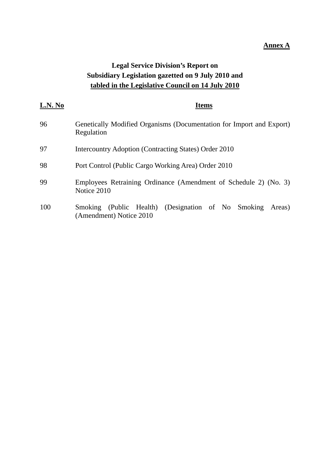### **Annex A**

# **Legal Service Division's Report on Subsidiary Legislation gazetted on 9 July 2010 and tabled in the Legislative Council on 14 July 2010**

| L.N. No | <b>Items</b>                                                                               |  |  |  |
|---------|--------------------------------------------------------------------------------------------|--|--|--|
| 96      | Genetically Modified Organisms (Documentation for Import and Export)<br>Regulation         |  |  |  |
| 97      | Intercountry Adoption (Contracting States) Order 2010                                      |  |  |  |
| 98      | Port Control (Public Cargo Working Area) Order 2010                                        |  |  |  |
| 99      | Employees Retraining Ordinance (Amendment of Schedule 2) (No. 3)<br>Notice 2010            |  |  |  |
| 100     | (Public Health) (Designation of No Smoking<br>Smoking<br>Areas)<br>(Amendment) Notice 2010 |  |  |  |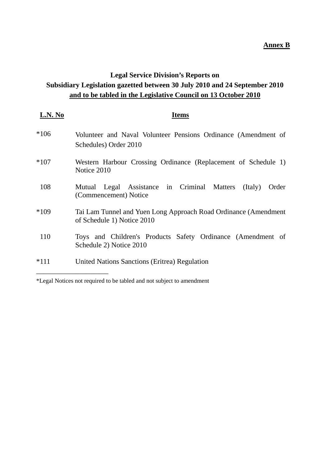# **Annex B**

# **Legal Service Division's Reports on Subsidiary Legislation gazetted between 30 July 2010 and 24 September 2010 and to be tabled in the Legislative Council on 13 October 2010**

| L.N. No | Items                                                                                         |
|---------|-----------------------------------------------------------------------------------------------|
| $*106$  | Volunteer and Naval Volunteer Pensions Ordinance (Amendment of<br>Schedules) Order 2010       |
| $*107$  | Western Harbour Crossing Ordinance (Replacement of Schedule 1)<br>Notice 2010                 |
| 108     | Mutual Legal Assistance in Criminal Matters<br>(Italy)<br>Order<br>(Commencement) Notice      |
| $*109$  | Tai Lam Tunnel and Yuen Long Approach Road Ordinance (Amendment<br>of Schedule 1) Notice 2010 |
| 110     | Toys and Children's Products Safety Ordinance (Amendment of<br>Schedule 2) Notice 2010        |
| $*111$  | <b>United Nations Sanctions (Eritrea) Regulation</b>                                          |

\*Legal Notices not required to be tabled and not subject to amendment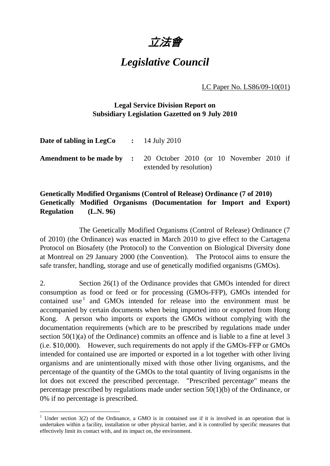

# *Legislative Council*

LC Paper No. LS86/09-10(01)

# **Legal Service Division Report on Subsidiary Legislation Gazetted on 9 July 2010**

| <b>Date of tabling in LegCo</b> : $14$ July 2010 |                                                                                                     |
|--------------------------------------------------|-----------------------------------------------------------------------------------------------------|
|                                                  | <b>Amendment to be made by :</b> 20 October 2010 (or 10 November 2010 if<br>extended by resolution) |

# **Genetically Modified Organisms (Control of Release) Ordinance (7 of 2010) Genetically Modified Organisms (Documentation for Import and Export) Regulation (L.N. 96)**

 The Genetically Modified Organisms (Control of Release) Ordinance (7 of 2010) (the Ordinance) was enacted in March 2010 to give effect to the Cartagena Protocol on Biosafety (the Protocol) to the Convention on Biological Diversity done at Montreal on 29 January 2000 (the Convention). The Protocol aims to ensure the safe transfer, handling, storage and use of genetically modified organisms (GMOs).

2. Section 26(1) of the Ordinance provides that GMOs intended for direct consumption as food or feed or for processing (GMOs-FFP), GMOs intended for contained use<sup>1</sup> and GMOs intended for release into the environment must be accompanied by certain documents when being imported into or exported from Hong Kong. A person who imports or exports the GMOs without complying with the documentation requirements (which are to be prescribed by regulations made under section 50(1)(a) of the Ordinance) commits an offence and is liable to a fine at level 3 (i.e. \$10,000). However, such requirements do not apply if the GMOs-FFP or GMOs intended for contained use are imported or exported in a lot together with other living organisms and are unintentionally mixed with those other living organisms, and the percentage of the quantity of the GMOs to the total quantity of living organisms in the lot does not exceed the prescribed percentage. "Prescribed percentage" means the percentage prescribed by regulations made under section 50(1)(b) of the Ordinance, or 0% if no percentage is prescribed.

 $\overline{a}$ 

<sup>&</sup>lt;sup>1</sup> Under section 3(2) of the Ordinance, a GMO is in contained use if it is involved in an operation that is undertaken within a facility, installation or other physical barrier, and it is controlled by specific measures that effectively limit its contact with, and its impact on, the environment.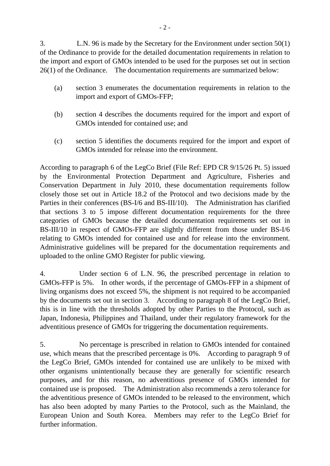3. L.N. 96 is made by the Secretary for the Environment under section 50(1) of the Ordinance to provide for the detailed documentation requirements in relation to the import and export of GMOs intended to be used for the purposes set out in section 26(1) of the Ordinance. The documentation requirements are summarized below:

- (a) section 3 enumerates the documentation requirements in relation to the import and export of GMOs-FFP;
- (b) section 4 describes the documents required for the import and export of GMOs intended for contained use; and
- (c) section 5 identifies the documents required for the import and export of GMOs intended for release into the environment.

According to paragraph 6 of the LegCo Brief (File Ref: EPD CR 9/15/26 Pt. 5) issued by the Environmental Protection Department and Agriculture, Fisheries and Conservation Department in July 2010, these documentation requirements follow closely those set out in Article 18.2 of the Protocol and two decisions made by the Parties in their conferences (BS-I/6 and BS-III/10). The Administration has clarified that sections 3 to 5 impose different documentation requirements for the three categories of GMOs because the detailed documentation requirements set out in BS-III/10 in respect of GMOs-FFP are slightly different from those under BS-I/6 relating to GMOs intended for contained use and for release into the environment. Administrative guidelines will be prepared for the documentation requirements and uploaded to the online GMO Register for public viewing.

4. Under section 6 of L.N. 96, the prescribed percentage in relation to GMOs-FFP is 5%. In other words, if the percentage of GMOs-FFP in a shipment of living organisms does not exceed 5%, the shipment is not required to be accompanied by the documents set out in section 3. According to paragraph 8 of the LegCo Brief, this is in line with the thresholds adopted by other Parties to the Protocol, such as Japan, Indonesia, Philippines and Thailand, under their regulatory framework for the adventitious presence of GMOs for triggering the documentation requirements.

5. No percentage is prescribed in relation to GMOs intended for contained use, which means that the prescribed percentage is 0%. According to paragraph 9 of the LegCo Brief, GMOs intended for contained use are unlikely to be mixed with other organisms unintentionally because they are generally for scientific research purposes, and for this reason, no adventitious presence of GMOs intended for contained use is proposed. The Administration also recommends a zero tolerance for the adventitious presence of GMOs intended to be released to the environment, which has also been adopted by many Parties to the Protocol, such as the Mainland, the European Union and South Korea. Members may refer to the LegCo Brief for further information.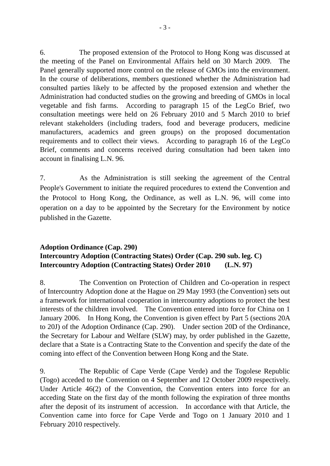6. The proposed extension of the Protocol to Hong Kong was discussed at the meeting of the Panel on Environmental Affairs held on 30 March 2009. The Panel generally supported more control on the release of GMOs into the environment. In the course of deliberations, members questioned whether the Administration had consulted parties likely to be affected by the proposed extension and whether the Administration had conducted studies on the growing and breeding of GMOs in local vegetable and fish farms. According to paragraph 15 of the LegCo Brief, two consultation meetings were held on 26 February 2010 and 5 March 2010 to brief relevant stakeholders (including traders, food and beverage producers, medicine manufacturers, academics and green groups) on the proposed documentation requirements and to collect their views. According to paragraph 16 of the LegCo Brief, comments and concerns received during consultation had been taken into account in finalising L.N. 96.

7. As the Administration is still seeking the agreement of the Central People's Government to initiate the required procedures to extend the Convention and the Protocol to Hong Kong, the Ordinance, as well as L.N. 96, will come into operation on a day to be appointed by the Secretary for the Environment by notice published in the Gazette.

# **Adoption Ordinance (Cap. 290) Intercountry Adoption (Contracting States) Order (Cap. 290 sub. leg. C) Intercountry Adoption (Contracting States) Order 2010 (L.N. 97)**

8. The Convention on Protection of Children and Co-operation in respect of Intercountry Adoption done at the Hague on 29 May 1993 (the Convention) sets out a framework for international cooperation in intercountry adoptions to protect the best interests of the children involved. The Convention entered into force for China on 1 January 2006. In Hong Kong, the Convention is given effect by Part 5 (sections 20A to 20J) of the Adoption Ordinance (Cap. 290). Under section 20D of the Ordinance, the Secretary for Labour and Welfare (SLW) may, by order published in the Gazette, declare that a State is a Contracting State to the Convention and specify the date of the coming into effect of the Convention between Hong Kong and the State.

9. The Republic of Cape Verde (Cape Verde) and the Togolese Republic (Togo) acceded to the Convention on 4 September and 12 October 2009 respectively. Under Article 46(2) of the Convention, the Convention enters into force for an acceding State on the first day of the month following the expiration of three months after the deposit of its instrument of accession. In accordance with that Article, the Convention came into force for Cape Verde and Togo on 1 January 2010 and 1 February 2010 respectively.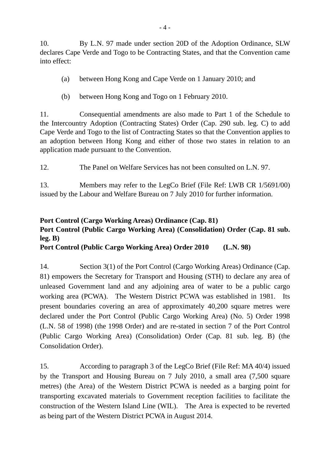10. By L.N. 97 made under section 20D of the Adoption Ordinance, SLW declares Cape Verde and Togo to be Contracting States, and that the Convention came into effect:

- (a) between Hong Kong and Cape Verde on 1 January 2010; and
- (b) between Hong Kong and Togo on 1 February 2010.

11. Consequential amendments are also made to Part 1 of the Schedule to the Intercountry Adoption (Contracting States) Order (Cap. 290 sub. leg. C) to add Cape Verde and Togo to the list of Contracting States so that the Convention applies to an adoption between Hong Kong and either of those two states in relation to an application made pursuant to the Convention.

12. The Panel on Welfare Services has not been consulted on L.N. 97.

13. Members may refer to the LegCo Brief (File Ref: LWB CR 1/5691/00) issued by the Labour and Welfare Bureau on 7 July 2010 for further information.

# **Port Control (Cargo Working Areas) Ordinance (Cap. 81) Port Control (Public Cargo Working Area) (Consolidation) Order (Cap. 81 sub. leg. B)**

**Port Control (Public Cargo Working Area) Order 2010 (L.N. 98)** 

14. Section 3(1) of the Port Control (Cargo Working Areas) Ordinance (Cap. 81) empowers the Secretary for Transport and Housing (STH) to declare any area of unleased Government land and any adjoining area of water to be a public cargo working area (PCWA). The Western District PCWA was established in 1981. Its present boundaries covering an area of approximately 40,200 square metres were declared under the Port Control (Public Cargo Working Area) (No. 5) Order 1998 (L.N. 58 of 1998) (the 1998 Order) and are re-stated in section 7 of the Port Control (Public Cargo Working Area) (Consolidation) Order (Cap. 81 sub. leg. B) (the Consolidation Order).

15. According to paragraph 3 of the LegCo Brief (File Ref: MA 40/4) issued by the Transport and Housing Bureau on 7 July 2010, a small area (7,500 square metres) (the Area) of the Western District PCWA is needed as a barging point for transporting excavated materials to Government reception facilities to facilitate the construction of the Western Island Line (WIL). The Area is expected to be reverted as being part of the Western District PCWA in August 2014.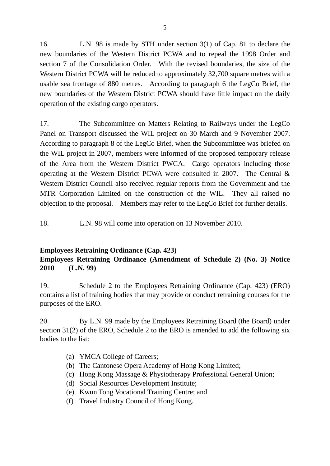16. L.N. 98 is made by STH under section 3(1) of Cap. 81 to declare the new boundaries of the Western District PCWA and to repeal the 1998 Order and section 7 of the Consolidation Order. With the revised boundaries, the size of the Western District PCWA will be reduced to approximately 32,700 square metres with a usable sea frontage of 880 metres. According to paragraph 6 the LegCo Brief, the new boundaries of the Western District PCWA should have little impact on the daily operation of the existing cargo operators.

17. The Subcommittee on Matters Relating to Railways under the LegCo Panel on Transport discussed the WIL project on 30 March and 9 November 2007. According to paragraph 8 of the LegCo Brief, when the Subcommittee was briefed on the WIL project in 2007, members were informed of the proposed temporary release of the Area from the Western District PWCA. Cargo operators including those operating at the Western District PCWA were consulted in 2007. The Central & Western District Council also received regular reports from the Government and the MTR Corporation Limited on the construction of the WIL. They all raised no objection to the proposal. Members may refer to the LegCo Brief for further details.

18. L.N. 98 will come into operation on 13 November 2010.

# **Employees Retraining Ordinance (Cap. 423)**

# **Employees Retraining Ordinance (Amendment of Schedule 2) (No. 3) Notice 2010 (L.N. 99)**

19. Schedule 2 to the Employees Retraining Ordinance (Cap. 423) (ERO) contains a list of training bodies that may provide or conduct retraining courses for the purposes of the ERO.

20. By L.N. 99 made by the Employees Retraining Board (the Board) under section 31(2) of the ERO, Schedule 2 to the ERO is amended to add the following six bodies to the list:

- (a) YMCA College of Careers;
- (b) The Cantonese Opera Academy of Hong Kong Limited;
- (c) Hong Kong Massage & Physiotherapy Professional General Union;
- (d) Social Resources Development Institute;
- (e) Kwun Tong Vocational Training Centre; and
- (f) Travel Industry Council of Hong Kong.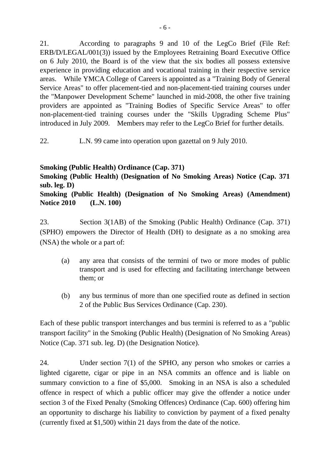21. According to paragraphs 9 and 10 of the LegCo Brief (File Ref: ERB/D/LEGAL/001(3)) issued by the Employees Retraining Board Executive Office on 6 July 2010, the Board is of the view that the six bodies all possess extensive experience in providing education and vocational training in their respective service areas. While YMCA College of Careers is appointed as a "Training Body of General Service Areas" to offer placement-tied and non-placement-tied training courses under the "Manpower Development Scheme" launched in mid-2008, the other five training providers are appointed as "Training Bodies of Specific Service Areas" to offer non-placement-tied training courses under the "Skills Upgrading Scheme Plus" introduced in July 2009. Members may refer to the LegCo Brief for further details.

22. L.N. 99 came into operation upon gazettal on 9 July 2010.

# **Smoking (Public Health) Ordinance (Cap. 371)**

**Smoking (Public Health) (Designation of No Smoking Areas) Notice (Cap. 371 sub. leg. D)** 

**Smoking (Public Health) (Designation of No Smoking Areas) (Amendment) Notice 2010 (L.N. 100)** 

23. Section 3(1AB) of the Smoking (Public Health) Ordinance (Cap. 371) (SPHO) empowers the Director of Health (DH) to designate as a no smoking area (NSA) the whole or a part of:

- (a) any area that consists of the termini of two or more modes of public transport and is used for effecting and facilitating interchange between them; or
- (b) any bus terminus of more than one specified route as defined in section 2 of the Public Bus Services Ordinance (Cap. 230).

Each of these public transport interchanges and bus termini is referred to as a "public transport facility" in the Smoking (Public Health) (Designation of No Smoking Areas) Notice (Cap. 371 sub. leg. D) (the Designation Notice).

24. Under section 7(1) of the SPHO, any person who smokes or carries a lighted cigarette, cigar or pipe in an NSA commits an offence and is liable on summary conviction to a fine of \$5,000. Smoking in an NSA is also a scheduled offence in respect of which a public officer may give the offender a notice under section 3 of the Fixed Penalty (Smoking Offences) Ordinance (Cap. 600) offering him an opportunity to discharge his liability to conviction by payment of a fixed penalty (currently fixed at \$1,500) within 21 days from the date of the notice.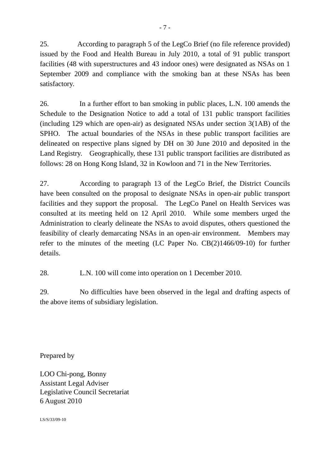25. According to paragraph 5 of the LegCo Brief (no file reference provided) issued by the Food and Health Bureau in July 2010, a total of 91 public transport facilities (48 with superstructures and 43 indoor ones) were designated as NSAs on 1 September 2009 and compliance with the smoking ban at these NSAs has been satisfactory.

26. In a further effort to ban smoking in public places, L.N. 100 amends the Schedule to the Designation Notice to add a total of 131 public transport facilities (including 129 which are open-air) as designated NSAs under section 3(1AB) of the SPHO. The actual boundaries of the NSAs in these public transport facilities are delineated on respective plans signed by DH on 30 June 2010 and deposited in the Land Registry. Geographically, these 131 public transport facilities are distributed as follows: 28 on Hong Kong Island, 32 in Kowloon and 71 in the New Territories.

27. According to paragraph 13 of the LegCo Brief, the District Councils have been consulted on the proposal to designate NSAs in open-air public transport facilities and they support the proposal. The LegCo Panel on Health Services was consulted at its meeting held on 12 April 2010. While some members urged the Administration to clearly delineate the NSAs to avoid disputes, others questioned the feasibility of clearly demarcating NSAs in an open-air environment. Members may refer to the minutes of the meeting (LC Paper No. CB(2)1466/09-10) for further details.

28. L.N. 100 will come into operation on 1 December 2010.

29. No difficulties have been observed in the legal and drafting aspects of the above items of subsidiary legislation.

Prepared by

LOO Chi-pong, Bonny Assistant Legal Adviser Legislative Council Secretariat 6 August 2010

LS/S/33/09-10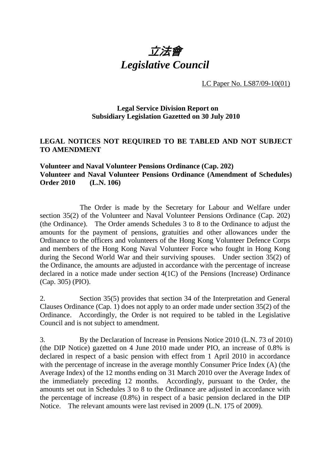

LC Paper No. LS87/09-10(01)

# **Legal Service Division Report on Subsidiary Legislation Gazetted on 30 July 2010**

# **LEGAL NOTICES NOT REQUIRED TO BE TABLED AND NOT SUBJECT TO AMENDMENT**

# **Volunteer and Naval Volunteer Pensions Ordinance (Cap. 202) Volunteer and Naval Volunteer Pensions Ordinance (Amendment of Schedules) Order 2010 (L.N. 106)**

 The Order is made by the Secretary for Labour and Welfare under section 35(2) of the Volunteer and Naval Volunteer Pensions Ordinance (Cap. 202) (the Ordinance). The Order amends Schedules 3 to 8 to the Ordinance to adjust the amounts for the payment of pensions, gratuities and other allowances under the Ordinance to the officers and volunteers of the Hong Kong Volunteer Defence Corps and members of the Hong Kong Naval Volunteer Force who fought in Hong Kong during the Second World War and their surviving spouses. Under section 35(2) of the Ordinance, the amounts are adjusted in accordance with the percentage of increase declared in a notice made under section 4(1C) of the Pensions (Increase) Ordinance (Cap. 305) (PIO).

2. Section 35(5) provides that section 34 of the Interpretation and General Clauses Ordinance (Cap. 1) does not apply to an order made under section 35(2) of the Ordinance. Accordingly, the Order is not required to be tabled in the Legislative Council and is not subject to amendment.

3. By the Declaration of Increase in Pensions Notice 2010 (L.N. 73 of 2010) (the DIP Notice) gazetted on 4 June 2010 made under PIO, an increase of 0.8% is declared in respect of a basic pension with effect from 1 April 2010 in accordance with the percentage of increase in the average monthly Consumer Price Index (A) (the Average Index) of the 12 months ending on 31 March 2010 over the Average Index of the immediately preceding 12 months. Accordingly, pursuant to the Order, the amounts set out in Schedules 3 to 8 to the Ordinance are adjusted in accordance with the percentage of increase (0.8%) in respect of a basic pension declared in the DIP Notice. The relevant amounts were last revised in 2009 (L.N. 175 of 2009).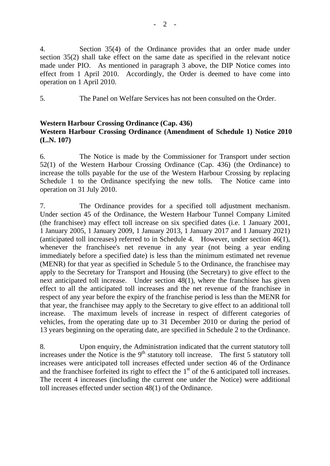4. Section 35(4) of the Ordinance provides that an order made under section 35(2) shall take effect on the same date as specified in the relevant notice made under PIO. As mentioned in paragraph 3 above, the DIP Notice comes into effect from 1 April 2010. Accordingly, the Order is deemed to have come into operation on 1 April 2010.

5. The Panel on Welfare Services has not been consulted on the Order.

# **Western Harbour Crossing Ordinance (Cap. 436) Western Harbour Crossing Ordinance (Amendment of Schedule 1) Notice 2010 (L.N. 107)**

6. The Notice is made by the Commissioner for Transport under section 52(1) of the Western Harbour Crossing Ordinance (Cap. 436) (the Ordinance) to increase the tolls payable for the use of the Western Harbour Crossing by replacing Schedule 1 to the Ordinance specifying the new tolls. The Notice came into operation on 31 July 2010.

7. The Ordinance provides for a specified toll adjustment mechanism. Under section 45 of the Ordinance, the Western Harbour Tunnel Company Limited (the franchisee) may effect toll increase on six specified dates (i.e. 1 January 2001, 1 January 2005, 1 January 2009, 1 January 2013, 1 January 2017 and 1 January 2021) (anticipated toll increases) referred to in Schedule 4. However, under section 46(1), whenever the franchisee's net revenue in any year (not being a year ending immediately before a specified date) is less than the minimum estimated net revenue (MENR) for that year as specified in Schedule 5 to the Ordinance, the franchisee may apply to the Secretary for Transport and Housing (the Secretary) to give effect to the next anticipated toll increase. Under section 48(1), where the franchisee has given effect to all the anticipated toll increases and the net revenue of the franchisee in respect of any year before the expiry of the franchise period is less than the MENR for that year, the franchisee may apply to the Secretary to give effect to an additional toll increase. The maximum levels of increase in respect of different categories of vehicles, from the operating date up to 31 December 2010 or during the period of 13 years beginning on the operating date, are specified in Schedule 2 to the Ordinance.

8. Upon enquiry, the Administration indicated that the current statutory toll increases under the Notice is the  $9<sup>th</sup>$  statutory toll increase. The first 5 statutory toll increases were anticipated toll increases effected under section 46 of the Ordinance and the franchisee forfeited its right to effect the  $1<sup>st</sup>$  of the 6 anticipated toll increases. The recent 4 increases (including the current one under the Notice) were additional toll increases effected under section 48(1) of the Ordinance.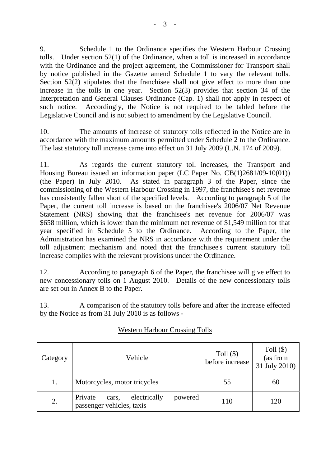9. Schedule 1 to the Ordinance specifies the Western Harbour Crossing tolls. Under section 52(1) of the Ordinance, when a toll is increased in accordance with the Ordinance and the project agreement, the Commissioner for Transport shall by notice published in the Gazette amend Schedule 1 to vary the relevant tolls. Section 52(2) stipulates that the franchisee shall not give effect to more than one increase in the tolls in one year. Section 52(3) provides that section 34 of the Interpretation and General Clauses Ordinance (Cap. 1) shall not apply in respect of such notice. Accordingly, the Notice is not required to be tabled before the Legislative Council and is not subject to amendment by the Legislative Council.

10. The amounts of increase of statutory tolls reflected in the Notice are in accordance with the maximum amounts permitted under Schedule 2 to the Ordinance. The last statutory toll increase came into effect on 31 July 2009 (L.N. 174 of 2009).

11. As regards the current statutory toll increases, the Transport and Housing Bureau issued an information paper (LC Paper No. CB(1)2681/09-10(01)) (the Paper) in July 2010. As stated in paragraph 3 of the Paper, since the commissioning of the Western Harbour Crossing in 1997, the franchisee's net revenue has consistently fallen short of the specified levels. According to paragraph 5 of the Paper, the current toll increase is based on the franchisee's 2006/07 Net Revenue Statement (NRS) showing that the franchisee's net revenue for 2006/07 was \$658 million, which is lower than the minimum net revenue of \$1,549 million for that year specified in Schedule 5 to the Ordinance. According to the Paper, the Administration has examined the NRS in accordance with the requirement under the toll adjustment mechanism and noted that the franchisee's current statutory toll increase complies with the relevant provisions under the Ordinance.

12. According to paragraph 6 of the Paper, the franchisee will give effect to new concessionary tolls on 1 August 2010. Details of the new concessionary tolls are set out in Annex B to the Paper.

13. A comparison of the statutory tolls before and after the increase effected by the Notice as from 31 July 2010 is as follows -

| Category | Vehicle                                                                  | Toll $(\$)$<br>before increase | Toll $(\$)$<br>(as from<br>31 July 2010) |
|----------|--------------------------------------------------------------------------|--------------------------------|------------------------------------------|
| 1.       | Motorcycles, motor tricycles                                             | 55                             | 60                                       |
| 2.       | electrically<br>Private<br>powered<br>cars,<br>passenger vehicles, taxis | 110                            | 120                                      |

# Western Harbour Crossing Tolls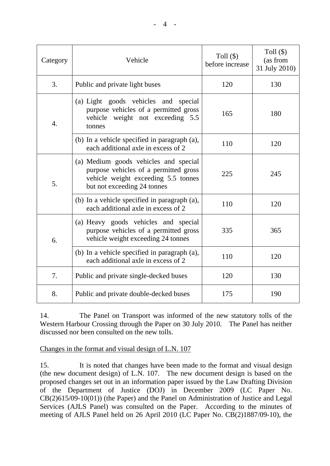| Category | Vehicle                                                                                                                                              | Toll $(\$)$<br>before increase | Toll $(\$)$<br>(as from<br>31 July 2010) |
|----------|------------------------------------------------------------------------------------------------------------------------------------------------------|--------------------------------|------------------------------------------|
| 3.       | Public and private light buses                                                                                                                       | 120                            | 130                                      |
| 4.       | (a) Light goods vehicles and special<br>purpose vehicles of a permitted gross<br>vehicle weight not exceeding 5.5<br>tonnes                          | 165                            | 180                                      |
|          | (b) In a vehicle specified in paragraph (a),<br>each additional axle in excess of 2                                                                  | 110                            | 120                                      |
| 5.       | (a) Medium goods vehicles and special<br>purpose vehicles of a permitted gross<br>vehicle weight exceeding 5.5 tonnes<br>but not exceeding 24 tonnes | 225                            | 245                                      |
|          | (b) In a vehicle specified in paragraph (a),<br>each additional axle in excess of 2                                                                  | 110                            | 120                                      |
| 6.       | (a) Heavy goods vehicles and special<br>purpose vehicles of a permitted gross<br>vehicle weight exceeding 24 tonnes                                  | 335                            | 365                                      |
|          | (b) In a vehicle specified in paragraph (a),<br>each additional axle in excess of 2                                                                  | 110                            | 120                                      |
| 7.       | Public and private single-decked buses                                                                                                               | 120                            | 130                                      |
| 8.       | Public and private double-decked buses                                                                                                               | 175                            | 190                                      |

14. The Panel on Transport was informed of the new statutory tolls of the Western Harbour Crossing through the Paper on 30 July 2010. The Panel has neither discussed nor been consulted on the new tolls.

# Changes in the format and visual design of L.N. 107

15. It is noted that changes have been made to the format and visual design (the new document design) of L.N. 107. The new document design is based on the proposed changes set out in an information paper issued by the Law Drafting Division of the Department of Justice (DOJ) in December 2009 (LC Paper No. CB(2)615/09-10(01)) (the Paper) and the Panel on Administration of Justice and Legal Services (AJLS Panel) was consulted on the Paper. According to the minutes of meeting of AJLS Panel held on 26 April 2010 (LC Paper No. CB(2)1887/09-10), the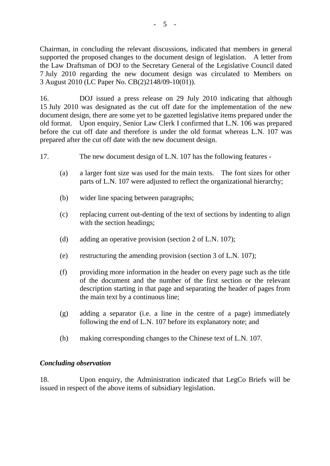Chairman, in concluding the relevant discussions, indicated that members in general supported the proposed changes to the document design of legislation. A letter from the Law Draftsman of DOJ to the Secretary General of the Legislative Council dated 7 July 2010 regarding the new document design was circulated to Members on 3 August 2010 (LC Paper No. CB(2)2148/09-10(01)).

16. DOJ issued a press release on 29 July 2010 indicating that although 15 July 2010 was designated as the cut off date for the implementation of the new document design, there are some yet to be gazetted legislative items prepared under the old format. Upon enquiry, Senior Law Clerk I confirmed that L.N. 106 was prepared before the cut off date and therefore is under the old format whereas L.N. 107 was prepared after the cut off date with the new document design.

- 17. The new document design of L.N. 107 has the following features
	- (a) a larger font size was used for the main texts. The font sizes for other parts of L.N. 107 were adjusted to reflect the organizational hierarchy;
	- (b) wider line spacing between paragraphs;
	- (c) replacing current out-denting of the text of sections by indenting to align with the section headings;
	- (d) adding an operative provision (section 2 of L.N. 107);
	- (e) restructuring the amending provision (section 3 of L.N. 107);
	- (f) providing more information in the header on every page such as the title of the document and the number of the first section or the relevant description starting in that page and separating the header of pages from the main text by a continuous line;
	- (g) adding a separator (i.e. a line in the centre of a page) immediately following the end of L.N. 107 before its explanatory note; and
	- (h) making corresponding changes to the Chinese text of L.N. 107.

### *Concluding observation*

18. Upon enquiry, the Administration indicated that LegCo Briefs will be issued in respect of the above items of subsidiary legislation.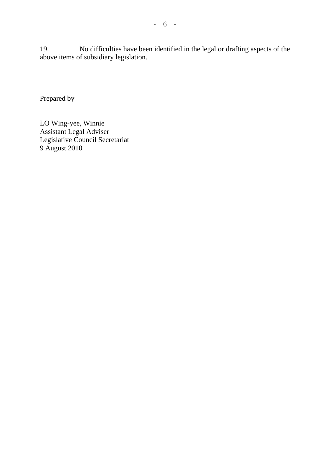19. No difficulties have been identified in the legal or drafting aspects of the above items of subsidiary legislation.

Prepared by

LO Wing-yee, Winnie Assistant Legal Adviser Legislative Council Secretariat 9 August 2010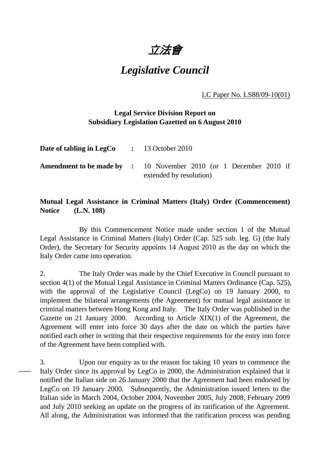立法會

# *Legislative Council*

LC Paper No. LS88/09-10(01)

# **Legal Service Division Report on Subsidiary Legislation Gazetted on 6 August 2010**

| Date of tabling in LegCo | $\div$ 13 October 2010                                                                              |
|--------------------------|-----------------------------------------------------------------------------------------------------|
|                          | <b>Amendment to be made by :</b> 10 November 2010 (or 1 December 2010 if<br>extended by resolution) |

# **Mutual Legal Assistance in Criminal Matters (Italy) Order (Commencement) Notice (L.N. 108)**

 By this Commencement Notice made under section 1 of the Mutual Legal Assistance in Criminal Matters (Italy) Order (Cap. 525 sub. leg. G) (the Italy Order), the Secretary for Security appoints 14 August 2010 as the day on which the Italy Order came into operation.

2. The Italy Order was made by the Chief Executive in Council pursuant to section 4(1) of the Mutual Legal Assistance in Criminal Matters Ordinance (Cap. 525), with the approval of the Legislative Council (LegCo) on 19 January 2000, to implement the bilateral arrangements (the Agreement) for mutual legal assistance in criminal matters between Hong Kong and Italy. The Italy Order was published in the Gazette on 21 January 2000. According to Article XIX(1) of the Agreement, the Agreement will enter into force 30 days after the date on which the parties have notified each other in writing that their respective requirements for the entry into force of the Agreement have been complied with.

3. Upon our enquiry as to the reason for taking 10 years to commence the Italy Order since its approval by LegCo in 2000, the Administration explained that it notified the Italian side on 26 January 2000 that the Agreement had been endorsed by LegCo on 19 January 2000. Subsequently, the Administration issued letters to the Italian side in March 2004, October 2004, November 2005, July 2008, February 2009 and July 2010 seeking an update on the progress of its ratification of the Agreement. All along, the Administration was informed that the ratification process was pending -----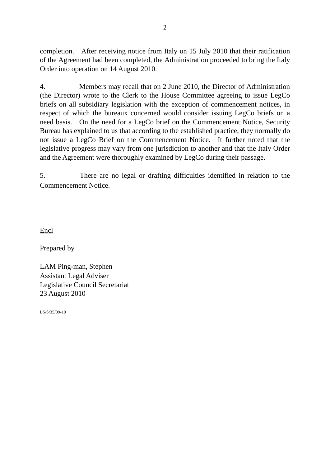completion. After receiving notice from Italy on 15 July 2010 that their ratification of the Agreement had been completed, the Administration proceeded to bring the Italy Order into operation on 14 August 2010.

4. Members may recall that on 2 June 2010, the Director of Administration (the Director) wrote to the Clerk to the House Committee agreeing to issue LegCo briefs on all subsidiary legislation with the exception of commencement notices, in respect of which the bureaux concerned would consider issuing LegCo briefs on a need basis. On the need for a LegCo brief on the Commencement Notice, Security Bureau has explained to us that according to the established practice, they normally do not issue a LegCo Brief on the Commencement Notice. It further noted that the legislative progress may vary from one jurisdiction to another and that the Italy Order and the Agreement were thoroughly examined by LegCo during their passage.

5. There are no legal or drafting difficulties identified in relation to the Commencement Notice.

Encl

Prepared by

LAM Ping-man, Stephen Assistant Legal Adviser Legislative Council Secretariat 23 August 2010

LS/S/35/09-10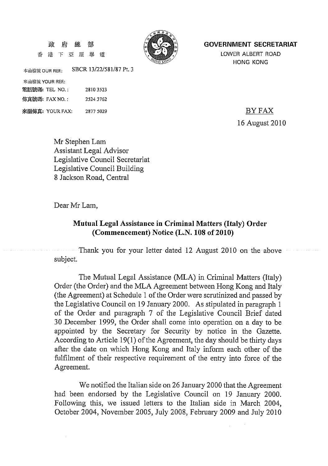#### 政 府 總 部

香港下亞厘畢 渞



#### **GOVERNMENT SECRETARIAT**

LOWER ALBERT ROAD **HONG KONG** 

SBCR 13/22/581/87 Pt. 3 本函檔號 OUR REE:

來函檔號 YOUR REF.: 電話號碼: TEL NO.: 28103523 傳真號碼: FAX NO.: 2524 3762

來函傳真: YOUR FAX: 2877 5029

BY FAX 16 August 2010

Mr Stephen Lam **Assistant Legal Advisor** Legislative Council Secretariat Legislative Council Building 8 Jackson Road, Central

Dear Mr Lam,

# Mutual Legal Assistance in Criminal Matters (Italy) Order (Commencement) Notice (L.N. 108 of 2010)

Thank you for your letter dated 12 August 2010 on the above subject.

The Mutual Legal Assistance (MLA) in Criminal Matters (Italy) Order (the Order) and the MLA Agreement between Hong Kong and Italy (the Agreement) at Schedule 1 of the Order were scrutinized and passed by the Legislative Council on 19 January 2000. As stipulated in paragraph 1 of the Order and paragraph 7 of the Legislative Council Brief dated 30 December 1999, the Order shall come into operation on a day to be appointed by the Secretary for Security by notice in the Gazette. According to Article 19(1) of the Agreement, the day should be thirty days after the date on which Hong Kong and Italy inform each other of the fulfilment of their respective requirement of the entry into force of the Agreement.

We notified the Italian side on 26 January 2000 that the Agreement had been endorsed by the Legislative Council on 19 January 2000. Following this, we issued letters to the Italian side in March 2004, October 2004, November 2005, July 2008, February 2009 and July 2010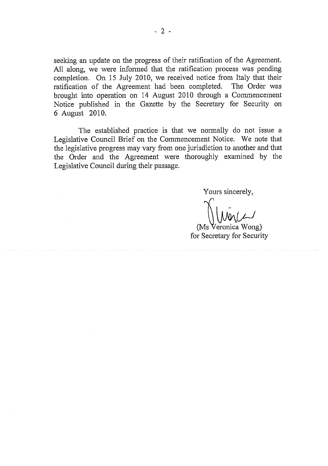seeking an update on the progress of their ratification of the Agreement. All along, we were informed that the ratification process was pending completion. On 15 July 2010, we received notice from Italy that their ratification of the Agreement had been completed. The Order was brought into operation on 14 August 2010 through a Commencement Notice published in the Gazette by the Secretary for Security on 6 August 2010.

The established practice is that we normally do not issue a Legislative Council Brief on the Commencement Notice. We note that the legislative progress may vary from one jurisdiction to another and that the Order and the Agreement were thoroughly examined by the Legislative Council during their passage.

Yours sincerely,

(Ms Veronica Wong) for Secretary for Security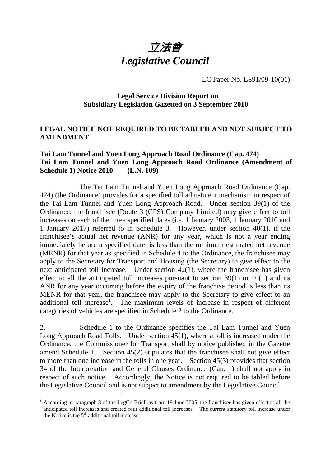

LC Paper No. LS91/09-10(01)

# **Legal Service Division Report on Subsidiary Legislation Gazetted on 3 September 2010**

# **LEGAL NOTICE NOT REQUIRED TO BE TABLED AND NOT SUBJECT TO AMENDMENT**

# **Tai Lam Tunnel and Yuen Long Approach Road Ordinance (Cap. 474) Tai Lam Tunnel and Yuen Long Approach Road Ordinance (Amendment of Schedule 1) Notice 2010 (L.N. 109)**

 The Tai Lam Tunnel and Yuen Long Approach Road Ordinance (Cap. 474) (the Ordinance) provides for a specified toll adjustment mechanism in respect of the Tai Lam Tunnel and Yuen Long Approach Road. Under section 39(1) of the Ordinance, the franchisee (Route 3 (CPS) Company Limited) may give effect to toll increases on each of the three specified dates (i.e. 1 January 2003, 1 January 2010 and 1 January 2017) referred to in Schedule 3. However, under section 40(1), if the franchisee's actual net revenue (ANR) for any year, which is not a year ending immediately before a specified date, is less than the minimum estimated net revenue (MENR) for that year as specified in Schedule 4 to the Ordinance, the franchisee may apply to the Secretary for Transport and Housing (the Secretary) to give effect to the next anticipated toll increase. Under section 42(1), where the franchisee has given effect to all the anticipated toll increases pursuant to section 39(1) or 40(1) and its ANR for any year occurring before the expiry of the franchise period is less than its MENR for that year, the franchisee may apply to the Secretary to give effect to an additional toll increase<sup>1</sup>. The maximum levels of increase in respect of different categories of vehicles are specified in Schedule 2 to the Ordinance.

2. Schedule 1 to the Ordinance specifies the Tai Lam Tunnel and Yuen Long Approach Road Tolls. Under section 45(1), where a toll is increased under the Ordinance, the Commissioner for Transport shall by notice published in the Gazette amend Schedule 1. Section 45(2) stipulates that the franchisee shall not give effect to more than one increase in the tolls in one year. Section 45(3) provides that section 34 of the Interpretation and General Clauses Ordinance (Cap. 1) shall not apply in respect of such notice. Accordingly, the Notice is not required to be tabled before the Legislative Council and is not subject to amendment by the Legislative Council.

-

 $1$  According to paragraph 8 of the LegCo Brief, as from 19 June 2005, the franchisee has given effect to all the anticipated toll increases and created four additional toll increases. The current statutory toll increase under the Notice is the  $5<sup>th</sup>$  additional toll increase.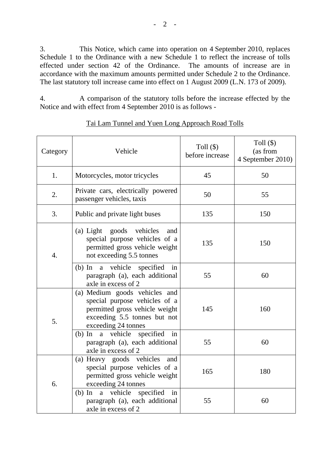3. This Notice, which came into operation on 4 September 2010, replaces Schedule 1 to the Ordinance with a new Schedule 1 to reflect the increase of tolls effected under section 42 of the Ordinance. The amounts of increase are in accordance with the maximum amounts permitted under Schedule 2 to the Ordinance. The last statutory toll increase came into effect on 1 August 2009 (L.N. 173 of 2009).

4. A comparison of the statutory tolls before the increase effected by the Notice and with effect from 4 September 2010 is as follows -

| Category         | Vehicle                                                                                                                                                 | Toll $(\$)$<br>before increase | Toll $(\$)$<br>(as from<br>4 September 2010) |
|------------------|---------------------------------------------------------------------------------------------------------------------------------------------------------|--------------------------------|----------------------------------------------|
| 1.               | Motorcycles, motor tricycles                                                                                                                            | 45                             | 50                                           |
| 2.               | Private cars, electrically powered<br>passenger vehicles, taxis                                                                                         | 50                             | 55                                           |
| 3.               | Public and private light buses                                                                                                                          | 135                            | 150                                          |
| $\overline{4}$ . | (a) Light goods vehicles<br>and<br>special purpose vehicles of a<br>permitted gross vehicle weight<br>not exceeding 5.5 tonnes                          | 135                            | 150                                          |
|                  | a vehicle specified<br>$(b)$ In<br>in<br>paragraph (a), each additional<br>axle in excess of 2                                                          | 55                             | 60                                           |
| 5.               | (a) Medium goods vehicles and<br>special purpose vehicles of a<br>permitted gross vehicle weight<br>exceeding 5.5 tonnes but not<br>exceeding 24 tonnes | 145                            | 160                                          |
|                  | (b) In a vehicle specified<br>in<br>paragraph (a), each additional<br>axle in excess of 2                                                               | 55                             | 60                                           |
| 6.               | (a) Heavy goods vehicles<br>and<br>special purpose vehicles of a<br>permitted gross vehicle weight<br>exceeding 24 tonnes                               | 165                            | 180                                          |
|                  | specified<br>a vehicle<br>in<br>$(b)$ In<br>paragraph (a), each additional<br>axle in excess of 2                                                       | 55                             | 60                                           |

## Tai Lam Tunnel and Yuen Long Approach Road Tolls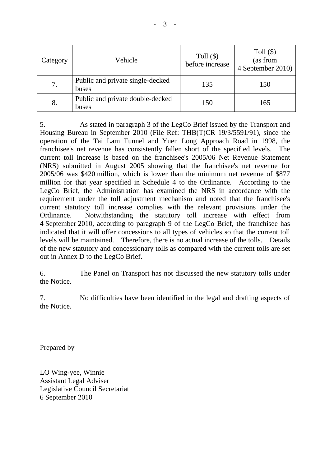| Category | Vehicle                                   | Toll $(\$)$<br>before increase | Toll $(\$)$<br>(as from<br>4 September 2010) |
|----------|-------------------------------------------|--------------------------------|----------------------------------------------|
| 7.       | Public and private single-decked<br>buses | 135                            | 150                                          |
| 8.       | Public and private double-decked<br>buses | 150                            | 165                                          |

5. As stated in paragraph 3 of the LegCo Brief issued by the Transport and Housing Bureau in September 2010 (File Ref: THB(T)CR 19/3/5591/91), since the operation of the Tai Lam Tunnel and Yuen Long Approach Road in 1998, the franchisee's net revenue has consistently fallen short of the specified levels. The current toll increase is based on the franchisee's 2005/06 Net Revenue Statement (NRS) submitted in August 2005 showing that the franchisee's net revenue for 2005/06 was \$420 million, which is lower than the minimum net revenue of \$877 million for that year specified in Schedule 4 to the Ordinance. According to the LegCo Brief, the Administration has examined the NRS in accordance with the requirement under the toll adjustment mechanism and noted that the franchisee's current statutory toll increase complies with the relevant provisions under the Ordinance. Notwithstanding the statutory toll increase with effect from 4 September 2010, according to paragraph 9 of the LegCo Brief, the franchisee has indicated that it will offer concessions to all types of vehicles so that the current toll levels will be maintained. Therefore, there is no actual increase of the tolls. Details of the new statutory and concessionary tolls as compared with the current tolls are set out in Annex D to the LegCo Brief.

6. The Panel on Transport has not discussed the new statutory tolls under the Notice.

7. No difficulties have been identified in the legal and drafting aspects of the Notice.

Prepared by

LO Wing-yee, Winnie Assistant Legal Adviser Legislative Council Secretariat 6 September 2010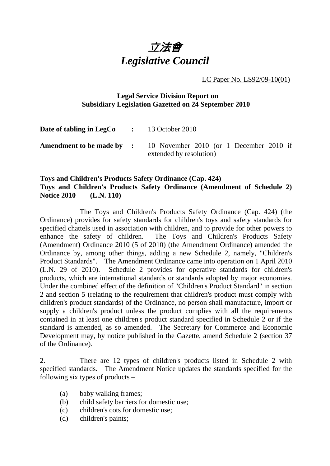

LC Paper No. LS92/09-10(01)

# **Legal Service Division Report on Subsidiary Legislation Gazetted on 24 September 2010**

| <b>Date of tabling in LegCo</b> $\qquad$ : 13 October 2010 |                                                                                                     |
|------------------------------------------------------------|-----------------------------------------------------------------------------------------------------|
|                                                            | <b>Amendment to be made by :</b> 10 November 2010 (or 1 December 2010 if<br>extended by resolution) |

# **Toys and Children's Products Safety Ordinance (Cap. 424) Toys and Children's Products Safety Ordinance (Amendment of Schedule 2) Notice 2010 (L.N. 110)**

1. The Toys and Children's Products Safety Ordinance (Cap. 424) (the Ordinance) provides for safety standards for children's toys and safety standards for specified chattels used in association with children, and to provide for other powers to enhance the safety of children. The Toys and Children's Products Safety (Amendment) Ordinance 2010 (5 of 2010) (the Amendment Ordinance) amended the Ordinance by, among other things, adding a new Schedule 2, namely, "Children's Product Standards". The Amendment Ordinance came into operation on 1 April 2010 (L.N. 29 of 2010). Schedule 2 provides for operative standards for children's products, which are international standards or standards adopted by major economies. Under the combined effect of the definition of "Children's Product Standard" in section 2 and section 5 (relating to the requirement that children's product must comply with children's product standards) of the Ordinance, no person shall manufacture, import or supply a children's product unless the product complies with all the requirements contained in at least one children's product standard specified in Schedule 2 or if the standard is amended, as so amended. The Secretary for Commerce and Economic Development may, by notice published in the Gazette, amend Schedule 2 (section 37 of the Ordinance).

2. There are 12 types of children's products listed in Schedule 2 with specified standards. The Amendment Notice updates the standards specified for the following six types of products –

- (a) baby walking frames;
- (b) child safety barriers for domestic use;
- (c) children's cots for domestic use;
- (d) children's paints;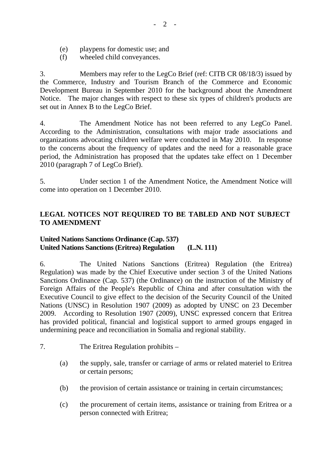- (e) playpens for domestic use; and
- (f) wheeled child conveyances.

3. Members may refer to the LegCo Brief (ref: CITB CR 08/18/3) issued by the Commerce, Industry and Tourism Branch of the Commerce and Economic Development Bureau in September 2010 for the background about the Amendment Notice. The major changes with respect to these six types of children's products are set out in Annex B to the LegCo Brief.

4. The Amendment Notice has not been referred to any LegCo Panel. According to the Administration, consultations with major trade associations and organizations advocating children welfare were conducted in May 2010. In response to the concerns about the frequency of updates and the need for a reasonable grace period, the Administration has proposed that the updates take effect on 1 December 2010 (paragraph 7 of LegCo Brief).

5. Under section 1 of the Amendment Notice, the Amendment Notice will come into operation on 1 December 2010.

# **LEGAL NOTICES NOT REQUIRED TO BE TABLED AND NOT SUBJECT TO AMENDMENT**

# **United Nations Sanctions Ordinance (Cap. 537) United Nations Sanctions (Eritrea) Regulation (L.N. 111)**

6. The United Nations Sanctions (Eritrea) Regulation (the Eritrea) Regulation) was made by the Chief Executive under section 3 of the United Nations Sanctions Ordinance (Cap. 537) (the Ordinance) on the instruction of the Ministry of Foreign Affairs of the People's Republic of China and after consultation with the Executive Council to give effect to the decision of the Security Council of the United Nations (UNSC) in Resolution 1907 (2009) as adopted by UNSC on 23 December 2009. According to Resolution 1907 (2009), UNSC expressed concern that Eritrea has provided political, financial and logistical support to armed groups engaged in undermining peace and reconciliation in Somalia and regional stability.

- 7. The Eritrea Regulation prohibits
	- (a) the supply, sale, transfer or carriage of arms or related materiel to Eritrea or certain persons;
	- (b) the provision of certain assistance or training in certain circumstances;
	- (c) the procurement of certain items, assistance or training from Eritrea or a person connected with Eritrea;